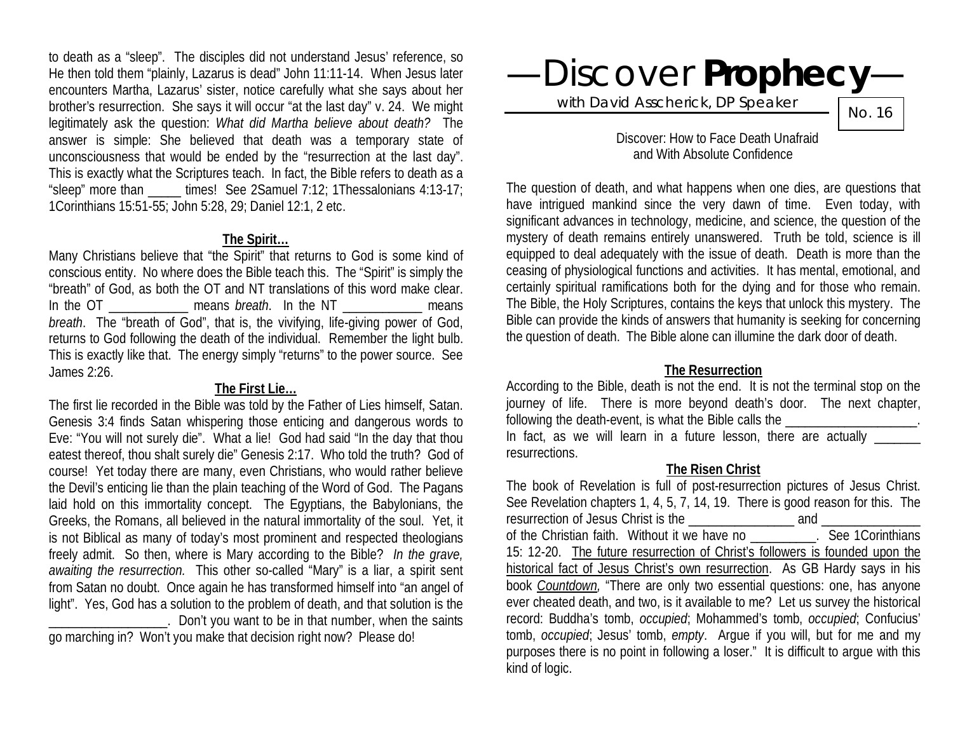to death as a "sleep". The disciples did not understand Jesus' reference, so He then told them "plainly, Lazarus is dead" John 11:11-14. When Jesus later encounters Martha, Lazarus' sister, notice carefully what she says about her brother's resurrection. She says it will occur "at the last day" v. 24. We might legitimately ask the question: *What did Martha believe about death?* The answer is simple: She believed that death was a temporary state of unconsciousness that would be ended by the "resurrection at the last day". This is exactly what the Scriptures teach. In fact, the Bible refers to death as a "sleep" more than  $\frac{1}{2}$  times! See 2Samuel 7:12; 1Thessalonians 4:13-17; 1Corinthians 15:51-55; John 5:28, 29; Daniel 12:1, 2 etc.

#### **The Spirit…**

Many Christians believe that "the Spirit" that returns to God is some kind of conscious entity. No where does the Bible teach this. The "Spirit" is simply the "breath" of God, as both the OT and NT translations of this word make clear. In the OT The means *breath*. In the NT The means *breath*. The "breath of God", that is, the vivifying, life-giving power of God, returns to God following the death of the individual. Remember the light bulb. This is exactly like that. The energy simply "returns" to the power source. See James 2:26.

#### **The First Lie…**

The first lie recorded in the Bible was told by the Father of Lies himself, Satan. Genesis 3:4 finds Satan whispering those enticing and dangerous words to Eve: "You will not surely die". What a lie! God had said "In the day that thou eatest thereof, thou shalt surely die" Genesis 2:17. Who told the truth? God of course! Yet today there are many, even Christians, who would rather believe the Devil's enticing lie than the plain teaching of the Word of God. The Pagans laid hold on this immortality concept. The Egyptians, the Babylonians, the Greeks, the Romans, all believed in the natural immortality of the soul. Yet, it is not Biblical as many of today's most prominent and respected theologians freely admit. So then, where is Mary according to the Bible? *In the grave, awaiting the resurrection.* This other so-called "Mary" is a liar, a spirit sent from Satan no doubt. Once again he has transformed himself into "an angel of light". Yes, God has a solution to the problem of death, and that solution is the . Don't you want to be in that number, when the saints go marching in? Won't you make that decision right now? Please do!

—Discover **Prophecy**—

with David Asscherick, DP Speaker

No. 16

 Discover: How to Face Death Unafraid and With Absolute Confidence

The question of death, and what happens when one dies, are questions that have intrigued mankind since the very dawn of time. Even today, with significant advances in technology, medicine, and science, the question of the mystery of death remains entirely unanswered. Truth be told, science is ill equipped to deal adequately with the issue of death. Death is more than the ceasing of physiological functions and activities. It has mental, emotional, and certainly spiritual ramifications both for the dying and for those who remain. The Bible, the Holy Scriptures, contains the keys that unlock this mystery. The Bible can provide the kinds of answers that humanity is seeking for concerning the question of death. The Bible alone can illumine the dark door of death.

### **The Resurrection**

According to the Bible, death is not the end. It is not the terminal stop on the journey of life. There is more beyond death's door. The next chapter, following the death-event, is what the Bible calls the  $\blacksquare$ 

In fact, as we will learn in a future lesson, there are actually \_\_\_\_\_\_\_ resurrections.

#### **The Risen Christ**

The book of Revelation is full of post-resurrection pictures of Jesus Christ. See Revelation chapters 1, 4, 5, 7, 14, 19. There is good reason for this. The resurrection of Jesus Christ is the \_\_\_\_\_\_\_\_\_\_\_\_\_\_\_\_ and \_\_\_\_\_\_\_\_\_\_\_\_\_\_\_ of the Christian faith. Without it we have no \_\_\_\_\_\_\_\_\_\_. See 1Corinthians 15: 12-20. The future resurrection of Christ's followers is founded upon the historical fact of Jesus Christ's own resurrection. As GB Hardy says in his book *Countdown,* "There are only two essential questions: one, has anyone ever cheated death, and two, is it available to me? Let us survey the historical record: Buddha's tomb, *occupied*; Mohammed's tomb, *occupied*; Confucius' tomb, *occupied*; Jesus' tomb, *empty*. Argue if you will, but for me and my purposes there is no point in following a loser." It is difficult to argue with this kind of logic.